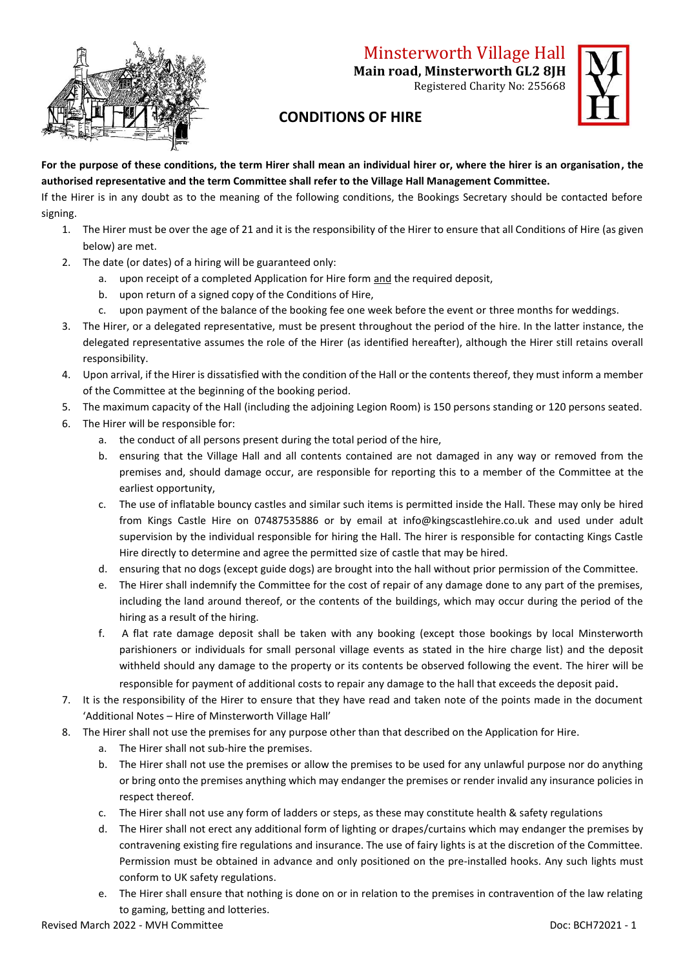

## Minsterworth Village Hall

**Main road, Minsterworth GL2 8JH**

Registered Charity No: 255668



## **CONDITIONS OF HIRE**

**For the purpose of these conditions, the term Hirer shall mean an individual hirer or, where the hirer is an organisation, the authorised representative and the term Committee shall refer to the Village Hall Management Committee.**

If the Hirer is in any doubt as to the meaning of the following conditions, the Bookings Secretary should be contacted before signing.

- 1. The Hirer must be over the age of 21 and it is the responsibility of the Hirer to ensure that all Conditions of Hire (as given below) are met.
- 2. The date (or dates) of a hiring will be guaranteed only:
	- a. upon receipt of a completed Application for Hire form and the required deposit,
	- b. upon return of a signed copy of the Conditions of Hire,
	- c. upon payment of the balance of the booking fee one week before the event or three months for weddings.
- 3. The Hirer, or a delegated representative, must be present throughout the period of the hire. In the latter instance, the delegated representative assumes the role of the Hirer (as identified hereafter), although the Hirer still retains overall responsibility.
- 4. Upon arrival, if the Hirer is dissatisfied with the condition of the Hall or the contents thereof, they must inform a member of the Committee at the beginning of the booking period.
- 5. The maximum capacity of the Hall (including the adjoining Legion Room) is 150 persons standing or 120 persons seated.
- 6. The Hirer will be responsible for:
	- a. the conduct of all persons present during the total period of the hire,
	- b. ensuring that the Village Hall and all contents contained are not damaged in any way or removed from the premises and, should damage occur, are responsible for reporting this to a member of the Committee at the earliest opportunity,
	- c. The use of inflatable bouncy castles and similar such items is permitted inside the Hall. These may only be hired from Kings Castle Hire on 07487535886 or by email at info@kingscastlehire.co.uk and used under adult supervision by the individual responsible for hiring the Hall. The hirer is responsible for contacting Kings Castle Hire directly to determine and agree the permitted size of castle that may be hired.
	- d. ensuring that no dogs (except guide dogs) are brought into the hall without prior permission of the Committee.
	- e. The Hirer shall indemnify the Committee for the cost of repair of any damage done to any part of the premises, including the land around thereof, or the contents of the buildings, which may occur during the period of the hiring as a result of the hiring.
	- f. A flat rate damage deposit shall be taken with any booking (except those bookings by local Minsterworth parishioners or individuals for small personal village events as stated in the hire charge list) and the deposit withheld should any damage to the property or its contents be observed following the event. The hirer will be responsible for payment of additional costs to repair any damage to the hall that exceeds the deposit paid.
- 7. It is the responsibility of the Hirer to ensure that they have read and taken note of the points made in the document 'Additional Notes – Hire of Minsterworth Village Hall'
- 8. The Hirer shall not use the premises for any purpose other than that described on the Application for Hire.
	- a. The Hirer shall not sub-hire the premises.
	- b. The Hirer shall not use the premises or allow the premises to be used for any unlawful purpose nor do anything or bring onto the premises anything which may endanger the premises or render invalid any insurance policies in respect thereof.
	- c. The Hirer shall not use any form of ladders or steps, as these may constitute health & safety regulations
	- d. The Hirer shall not erect any additional form of lighting or drapes/curtains which may endanger the premises by contravening existing fire regulations and insurance. The use of fairy lights is at the discretion of the Committee. Permission must be obtained in advance and only positioned on the pre-installed hooks. Any such lights must conform to UK safety regulations.
	- e. The Hirer shall ensure that nothing is done on or in relation to the premises in contravention of the law relating to gaming, betting and lotteries.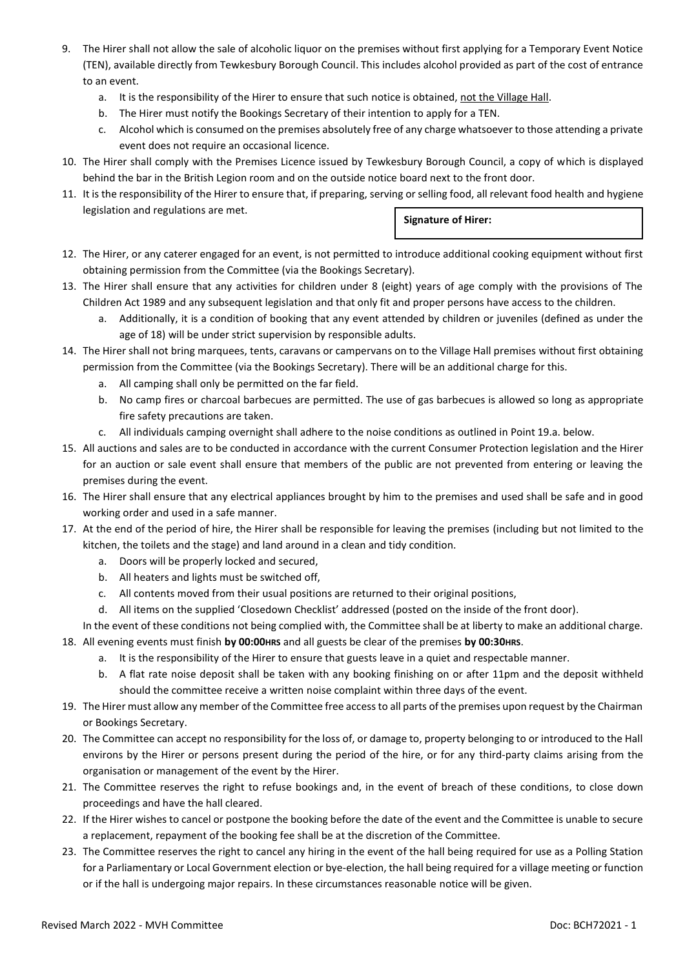- 9. The Hirer shall not allow the sale of alcoholic liquor on the premises without first applying for a Temporary Event Notice (TEN), available directly from Tewkesbury Borough Council. This includes alcohol provided as part of the cost of entrance to an event.
	- a. It is the responsibility of the Hirer to ensure that such notice is obtained, not the Village Hall.
	- b. The Hirer must notify the Bookings Secretary of their intention to apply for a TEN.
	- c. Alcohol which is consumed on the premises absolutely free of any charge whatsoever to those attending a private event does not require an occasional licence.
- 10. The Hirer shall comply with the Premises Licence issued by Tewkesbury Borough Council, a copy of which is displayed behind the bar in the British Legion room and on the outside notice board next to the front door.
- 11. It is the responsibility of the Hirer to ensure that, if preparing, serving or selling food, all relevant food health and hygiene legislation and regulations are met. **Signature of Hirer:**
- 12. The Hirer, or any caterer engaged for an event, is not permitted to introduce additional cooking equipment without first obtaining permission from the Committee (via the Bookings Secretary).
- 13. The Hirer shall ensure that any activities for children under 8 (eight) years of age comply with the provisions of The Children Act 1989 and any subsequent legislation and that only fit and proper persons have access to the children.
	- a. Additionally, it is a condition of booking that any event attended by children or juveniles (defined as under the age of 18) will be under strict supervision by responsible adults.
- 14. The Hirer shall not bring marquees, tents, caravans or campervans on to the Village Hall premises without first obtaining permission from the Committee (via the Bookings Secretary). There will be an additional charge for this.
	- a. All camping shall only be permitted on the far field.
	- b. No camp fires or charcoal barbecues are permitted. The use of gas barbecues is allowed so long as appropriate fire safety precautions are taken.
	- c. All individuals camping overnight shall adhere to the noise conditions as outlined in Point 19.a. below.
- 15. All auctions and sales are to be conducted in accordance with the current Consumer Protection legislation and the Hirer for an auction or sale event shall ensure that members of the public are not prevented from entering or leaving the premises during the event.
- 16. The Hirer shall ensure that any electrical appliances brought by him to the premises and used shall be safe and in good working order and used in a safe manner.
- 17. At the end of the period of hire, the Hirer shall be responsible for leaving the premises (including but not limited to the kitchen, the toilets and the stage) and land around in a clean and tidy condition.
	- a. Doors will be properly locked and secured,
	- b. All heaters and lights must be switched off,
	- c. All contents moved from their usual positions are returned to their original positions,
	- d. All items on the supplied 'Closedown Checklist' addressed (posted on the inside of the front door).
- In the event of these conditions not being complied with, the Committee shall be at liberty to make an additional charge. 18. All evening events must finish **by 00:00HRS** and all guests be clear of the premises **by 00:30HRS**.
	- a. It is the responsibility of the Hirer to ensure that guests leave in a quiet and respectable manner.
	- b. A flat rate noise deposit shall be taken with any booking finishing on or after 11pm and the deposit withheld should the committee receive a written noise complaint within three days of the event.
- 19. The Hirer must allow any member of the Committee free access to all parts of the premises upon request by the Chairman or Bookings Secretary.
- 20. The Committee can accept no responsibility for the loss of, or damage to, property belonging to or introduced to the Hall environs by the Hirer or persons present during the period of the hire, or for any third-party claims arising from the organisation or management of the event by the Hirer.
- 21. The Committee reserves the right to refuse bookings and, in the event of breach of these conditions, to close down proceedings and have the hall cleared.
- 22. If the Hirer wishes to cancel or postpone the booking before the date of the event and the Committee is unable to secure a replacement, repayment of the booking fee shall be at the discretion of the Committee.
- 23. The Committee reserves the right to cancel any hiring in the event of the hall being required for use as a Polling Station for a Parliamentary or Local Government election or bye-election, the hall being required for a village meeting or function or if the hall is undergoing major repairs. In these circumstances reasonable notice will be given.